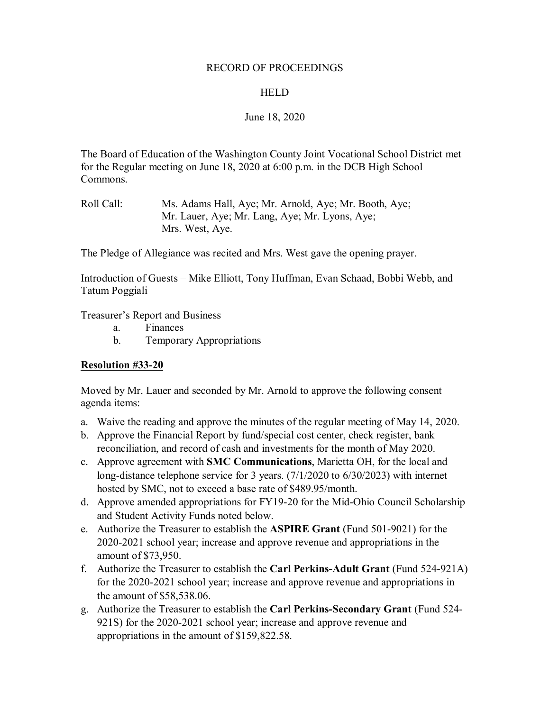## RECORD OF PROCEEDINGS

# HELD

# June 18, 2020

The Board of Education of the Washington County Joint Vocational School District met for the Regular meeting on June 18, 2020 at 6:00 p.m. in the DCB High School Commons.

The Pledge of Allegiance was recited and Mrs. West gave the opening prayer.

Introduction of Guests – Mike Elliott, Tony Huffman, Evan Schaad, Bobbi Webb, and Tatum Poggiali

Treasurer's Report and Business

- a. Finances
- b. Temporary Appropriations

## **Resolution #33-20**

Moved by Mr. Lauer and seconded by Mr. Arnold to approve the following consent agenda items:

- a. Waive the reading and approve the minutes of the regular meeting of May 14, 2020.
- b. Approve the Financial Report by fund/special cost center, check register, bank reconciliation, and record of cash and investments for the month of May 2020.
- c. Approve agreement with **SMC Communications**, Marietta OH, for the local and long-distance telephone service for 3 years. (7/1/2020 to 6/30/2023) with internet hosted by SMC, not to exceed a base rate of \$489.95/month.
- d. Approve amended appropriations for FY19-20 for the Mid-Ohio Council Scholarship and Student Activity Funds noted below.
- e. Authorize the Treasurer to establish the **ASPIRE Grant** (Fund 501-9021) for the 2020-2021 school year; increase and approve revenue and appropriations in the amount of \$73,950.
- f. Authorize the Treasurer to establish the **Carl Perkins-Adult Grant** (Fund 524-921A) for the 2020-2021 school year; increase and approve revenue and appropriations in the amount of \$58,538.06.
- g. Authorize the Treasurer to establish the **Carl Perkins-Secondary Grant** (Fund 524- 921S) for the 2020-2021 school year; increase and approve revenue and appropriations in the amount of \$159,822.58.

Roll Call: Ms. Adams Hall, Aye; Mr. Arnold, Aye; Mr. Booth, Aye; Mr. Lauer, Aye; Mr. Lang, Aye; Mr. Lyons, Aye; Mrs. West, Aye.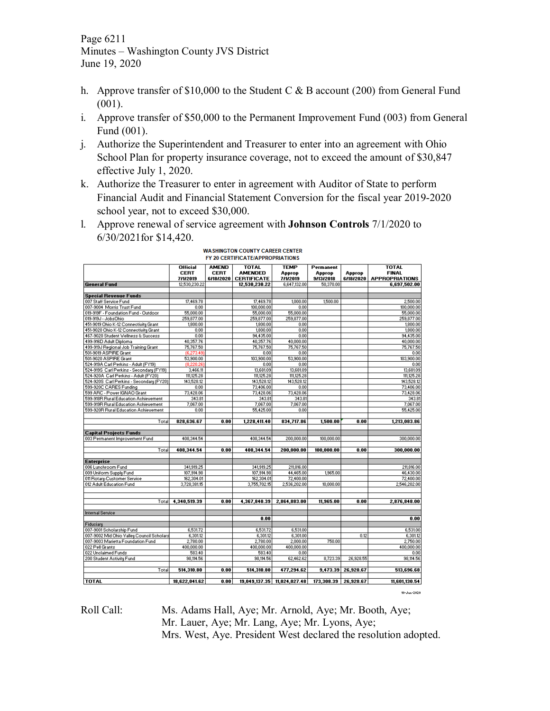Page 6211 Minutes – Washington County JVS District June 19, 2020

- h. Approve transfer of \$10,000 to the Student C & B account (200) from General Fund (001).
- i. Approve transfer of \$50,000 to the Permanent Improvement Fund (003) from General Fund (001).
- j. Authorize the Superintendent and Treasurer to enter into an agreement with Ohio School Plan for property insurance coverage, not to exceed the amount of \$30,847 effective July 1, 2020.
- k. Authorize the Treasurer to enter in agreement with Auditor of State to perform Financial Audit and Financial Statement Conversion for the fiscal year 2019-2020 school year, not to exceed \$30,000.
- l. Approve renewal of service agreement with **Johnson Controls** 7/1/2020 to 6/30/2021for \$14,420.

|                                           | <b>Official</b><br><b>CERT</b> | <b>AMEND</b><br><b>CERT</b> | <b>TOTAL</b><br><b>AMENDED</b> | <b>TEMP</b><br>Approp       | Permanent<br>Approp | Approp    | <b>TOTAL</b><br><b>FINAL</b> |
|-------------------------------------------|--------------------------------|-----------------------------|--------------------------------|-----------------------------|---------------------|-----------|------------------------------|
|                                           | 7/1/2019                       | 6/18/2020                   | <b>CERTIFICATE</b>             | 7/1/2019                    | 9/13/2018           | 6/18/2020 | <b>APPROPRIATIONS</b>        |
| <b>General Fund</b>                       | 12,530,230.22                  |                             | 12,530,230.22                  | 6,647,132.00                | 50.370.00           |           | 6,697,502.00                 |
| <b>Special Revenue Funds</b>              |                                |                             |                                |                             |                     |           |                              |
| 007 Staff Service Fund                    | 17,469.78                      |                             | 17,469.78                      | 1,000.00                    | 1,500.00            |           | 2,500.00                     |
| 007-9004 Morris Trust Fund                | 0.00                           |                             | 100.000.00                     | 0.00                        |                     |           | 100,000.00                   |
| 019-919F - Foundation Fund - Outdoor      | 55,000.00                      |                             | 55,000.00                      | 55,000.00                   |                     |           | 55,000.00                    |
| 019-919J - JobsOhio                       | 259,877.00                     |                             | 259.877.00                     | 259.877.00                  |                     |           | 259,877.00                   |
| 451-9019 Ohio K-12 Connectivity Grant     | 1,800.00                       |                             | 1,800.00                       | 0.00                        |                     |           | 1,800.00                     |
| 451-9020 Ohio K-12 Connectivity Grant     | 0.00                           |                             | 1,800.00                       | 0.00                        |                     |           | 1,800.00                     |
| 467-9020 Student Wellness & Success       | 0.00                           |                             | 94,435.00                      | 0.00                        |                     |           | 94,435.00                    |
| 499-916D Adult Diploma                    | 40,357.76                      |                             | 40,357.76                      | 40.000.00                   |                     |           | 40,000,00                    |
| 499-919J Regional Job Training Grant      | 75,767.50                      |                             | 75,767.50                      | 75,767.50                   |                     |           | 75,767.50                    |
| 501-9019 ASPIRE Grant                     | (6,273,49)                     |                             | 0.00                           | 0.00                        |                     |           | 0.00                         |
| 501-9020 ASPIRE Grant                     | 53,900.00                      |                             | 103,900.00                     | 53,900.00                   |                     |           | 103,900.00                   |
| 524-919A Carl Perkins - Adult (FY19)      | (8,220.26)                     |                             | 0.00                           | 0.00                        |                     |           | 0.00                         |
| 524-919S Carl Perkins - Secondary (FY19)  | 3,466.11                       |                             | 13,681.09                      | 13,681.09                   |                     |           | 13,681.09                    |
| 524-920A Carl Perkins - Adult (FY20)      | 111,125.28                     |                             | 111,125.28                     | 111,125.28                  |                     |           | 111,125.28                   |
| 524-920S Carl Perkins - Secondary (FY20)  | 143,528.12                     |                             | 143,528.12                     | 143,528.12                  |                     |           | 143,528.12                   |
| 599-920C CARES Funding                    | 0.00                           |                             | 73,406.00                      | 0.00                        |                     |           | 73,406.00                    |
| 599 ARC - Power IGNAO Grant               | 73,428.06                      |                             | 73,428.06                      | 73,428.06                   |                     |           | 73,428.06                    |
| 599-918R Rural Education Achievement      | 343.81                         |                             | 343.81                         | 343.81                      |                     |           | 343.81                       |
| 599-919R Rural Education Achievement      | 7,067.00                       |                             | 7,067.00                       | 7,067.00                    |                     |           | 7,067.00                     |
| 599-920R Rural Education Achievement      |                                |                             |                                |                             |                     |           |                              |
|                                           | 0.00                           |                             | 55,425.00                      | 0.00                        |                     |           | 55,425.00                    |
| Total                                     | 828,636.67                     | 0.00                        | 1,228,411.40                   | 834,717.86                  | 1,500.00            | 0.00      | 1.213,083.86                 |
|                                           |                                |                             |                                |                             |                     |           |                              |
| <b>Capital Projects Funds</b>             |                                |                             |                                |                             |                     |           |                              |
| 003 Permanent Improvement Fund            | 408,344.54                     |                             | 408,344.54                     | 200.000.00                  | 100,000.00          |           | 300,000,00                   |
|                                           |                                |                             |                                |                             |                     |           |                              |
| Total                                     | 408.344.54                     | 0.00                        | 408.344.54                     | 200,000.00                  | 100,000.00          | 0.00      | 300,000.00                   |
|                                           |                                |                             |                                |                             |                     |           |                              |
| <b>Enterprise</b>                         |                                |                             |                                |                             |                     |           |                              |
| 006 Lunchroom Fund                        | 341,919.25                     |                             | 341,919.25                     | 211,816.00                  |                     |           | 211,816.00                   |
| 009 Uniform Supply Fund                   | 107,914.98                     |                             | 107.914.98                     | 44,465.00                   | 1,965.00            |           | 46,430.00                    |
| 011 Rotary-Customer Service               | 162,304.01                     |                             | 162,304.01                     | 72,400.00                   |                     |           | 72,400.00                    |
| 012 Adult Education Fund                  | 3,728,381.15                   |                             | 3,755,702.15                   | 2,536,202.00                | 10,000.00           |           | 2,546,202.00                 |
|                                           |                                |                             |                                |                             |                     |           |                              |
|                                           |                                |                             |                                |                             |                     |           |                              |
| Totall                                    | 4,340,519.39                   | 0.00                        | 4,367,840.39                   | 2,864,883.00                | 11,965.00           | 0.00      | 2,876,848.00                 |
|                                           |                                |                             |                                |                             |                     |           |                              |
| <b>Internal Service</b>                   |                                |                             |                                |                             |                     |           |                              |
|                                           |                                |                             | 0.00                           |                             |                     |           | 0.00                         |
| Fiduciaru                                 |                                |                             |                                |                             |                     |           |                              |
| 007-9001 Scholarship Fund                 | 6.531.72                       |                             | 6,531.72                       | 6,531.00                    |                     |           | 6,531.00                     |
| 007-9002 Mid Ohio Valley Council Scholars | 6,301.12                       |                             | 6,301.12                       | 6,301.00                    |                     | 0.12      | 6,301.12                     |
| 007-9003 Marietta Foundation Fund         | 2,780.00                       |                             | 2,780.00                       | 2,000.00                    | 750.00              |           | 2,750.00                     |
| 022 Pell Grants                           | 400,000.00                     |                             | 400,000.00                     | 400,000.00                  |                     |           | 400,000.00                   |
| 022 Unclaimed Funds                       | 583.40                         |                             | 583.40                         | 0.00                        |                     |           | 0.00                         |
| 200 Student Activity Fund                 | 98,114.56                      |                             | 98,114.56                      | 62,462.62                   | 8,723.39            | 26,928.55 | 98,114.56                    |
|                                           |                                |                             |                                |                             |                     |           |                              |
| Total                                     | 514,310.80                     | 0.00                        | 514,310.80                     | 477,294.62                  | 9,473.39            | 26,928.67 | 513,696.68                   |
| <b>TOTAL</b>                              |                                | 0.00                        |                                |                             |                     |           |                              |
|                                           | 18,622,041.62                  |                             |                                | 19,049,137.35 11,024,027.48 | 173,308.39          | 26,928.67 | 11,601,130.54                |
|                                           |                                |                             |                                |                             |                     |           | 10-Jun-2020                  |

#### **WASHINGTON COUNTY CAREER CENTER** FY 20 CERTIFICATE/APPROPRIATIONS

Roll Call: Ms. Adams Hall, Aye; Mr. Arnold, Aye; Mr. Booth, Aye; Mr. Lauer, Aye; Mr. Lang, Aye; Mr. Lyons, Aye; Mrs. West, Aye. President West declared the resolution adopted.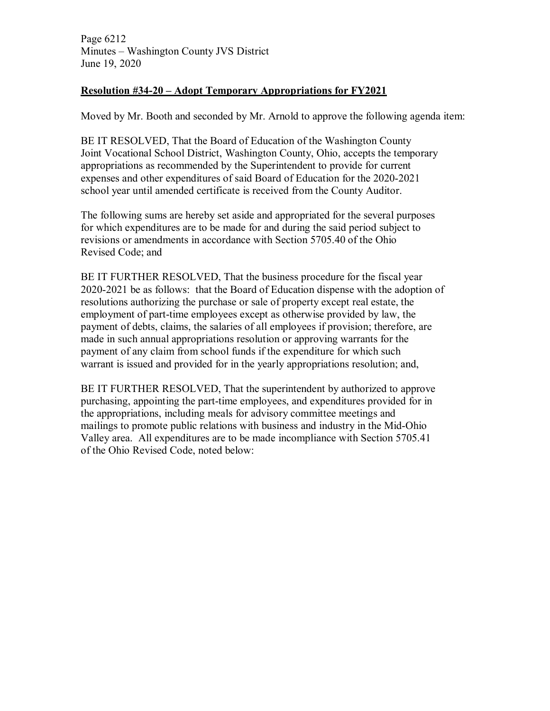Page 6212 Minutes – Washington County JVS District June 19, 2020

# **Resolution #34-20 – Adopt Temporary Appropriations for FY2021**

Moved by Mr. Booth and seconded by Mr. Arnold to approve the following agenda item:

BE IT RESOLVED, That the Board of Education of the Washington County Joint Vocational School District, Washington County, Ohio, accepts the temporary appropriations as recommended by the Superintendent to provide for current expenses and other expenditures of said Board of Education for the 2020-2021 school year until amended certificate is received from the County Auditor.

The following sums are hereby set aside and appropriated for the several purposes for which expenditures are to be made for and during the said period subject to revisions or amendments in accordance with Section 5705.40 of the Ohio Revised Code; and

BE IT FURTHER RESOLVED, That the business procedure for the fiscal year 2020-2021 be as follows: that the Board of Education dispense with the adoption of resolutions authorizing the purchase or sale of property except real estate, the employment of part-time employees except as otherwise provided by law, the payment of debts, claims, the salaries of all employees if provision; therefore, are made in such annual appropriations resolution or approving warrants for the payment of any claim from school funds if the expenditure for which such warrant is issued and provided for in the yearly appropriations resolution; and,

BE IT FURTHER RESOLVED, That the superintendent by authorized to approve purchasing, appointing the part-time employees, and expenditures provided for in the appropriations, including meals for advisory committee meetings and mailings to promote public relations with business and industry in the Mid-Ohio Valley area. All expenditures are to be made incompliance with Section 5705.41 of the Ohio Revised Code, noted below: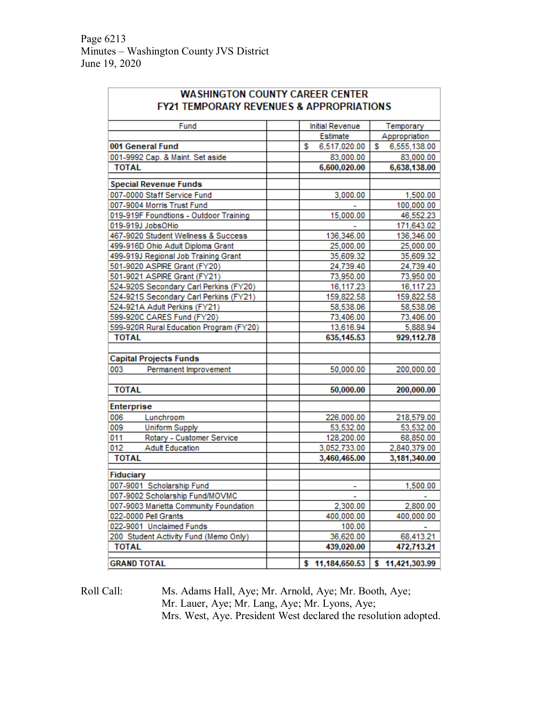Page 6213 Minutes – Washington County JVS District June 19, 2020

t.

|                                         | <b>FY21 TEMPORARY REVENUES &amp; APPROPRIATIONS</b> |                   |
|-----------------------------------------|-----------------------------------------------------|-------------------|
| Fund                                    | Initial Revenue                                     | Temporary         |
|                                         | Estimate                                            | Appropriation     |
| 001 General Fund                        | 6,517,020.00<br>s                                   | s<br>6,555,138.00 |
| 001-9992 Cap. & Maint. Set aside        | 83,000.00                                           | 83,000.00         |
| <b>TOTAL</b>                            | 6,600,020.00                                        | 6,638,138.00      |
| <b>Special Revenue Funds</b>            |                                                     |                   |
| 007-0000 Staff Service Fund             | 3,000.00                                            | 1,500.00          |
| 007-9004 Morris Trust Fund              |                                                     | 100,000.00        |
| 019-919F Foundtions - Outdoor Training  | 15,000.00                                           | 46,552.23         |
| 019-919J JobsOHio                       |                                                     | 171,643.02        |
| 467-9020 Student Wellness & Success     | 136,346.00                                          | 136,346.00        |
| 499-916D Ohio Adult Diploma Grant       | 25,000.00                                           | 25,000.00         |
| 499-919J Regional Job Training Grant    | 35,609.32                                           | 35,609.32         |
| 501-9020 ASPIRE Grant (FY20)            | 24,739.40                                           | 24,739.40         |
| 501-9021 ASPIRE Grant (FY21)            | 73,950.00                                           | 73,950.00         |
| 524-920S Secondary Carl Perkins (FY20)  | 16,117.23                                           | 16,117.23         |
| 524-921S Secondary Carl Perkins (FY21)  | 159,822.58                                          | 159,822.58        |
| 524-921A Adult Perkins (FY21)           | 58,538.06                                           | 58,538.06         |
| 599-920C CARES Fund (FY20)              | 73,406.00                                           | 73,406.00         |
| 599-920R Rural Education Program (FY20) | 13,616.94                                           | 5,888.94          |
| <b>TOTAL</b>                            | 635, 145.53                                         | 929,112.78        |
| <b>Capital Projects Funds</b>           |                                                     |                   |
| 003<br>Permanent Improvement            | 50,000.00                                           | 200,000.00        |
|                                         |                                                     |                   |
| <b>TOTAL</b>                            | 50,000.00                                           | 200,000.00        |
| Enterprise                              |                                                     |                   |
| 006<br>Lunchroom                        | 226,000.00                                          | 218,579.00        |
| 009<br><b>Uniform Supply</b>            | 53,532.00                                           | 53,532.00         |
| Rotary - Customer Service<br>011        | 128,200.00                                          | 68,850.00         |
| 012<br><b>Adult Education</b>           | 3,052,733.00                                        | 2,840,379.00      |
| <b>TOTAL</b>                            | 3,460,465.00                                        | 3,181,340.00      |
| Fiduciary                               |                                                     |                   |
| 007-9001 Scholarship Fund               | ۰                                                   | 1,500.00          |
| 007-9002 Scholarship Fund/MOVMC         | $\sim$ $\sim$                                       | $\sim$            |
| 007-9003 Marietta Community Foundation  | 2,300.00                                            | 2,800.00          |
| 022-0000 Pell Grants                    | 400,000.00                                          | 400,000.00        |
| 022-9001 Unclaimed Funds                | 100.00                                              |                   |
| 200 Student Activity Fund (Memo Only)   | 36,620.00                                           | 68,413.21         |
| <b>TOTAL</b>                            | 439,020.00                                          | 472,713.21        |
| <b>GRAND TOTAL</b>                      | \$11,184,650.53                                     | \$11,421,303.99   |

Roll Call: Ms. Adams Hall, Aye; Mr. Arnold, Aye; Mr. Booth, Aye; Mr. Lauer, Aye; Mr. Lang, Aye; Mr. Lyons, Aye; Mrs. West, Aye. President West declared the resolution adopted.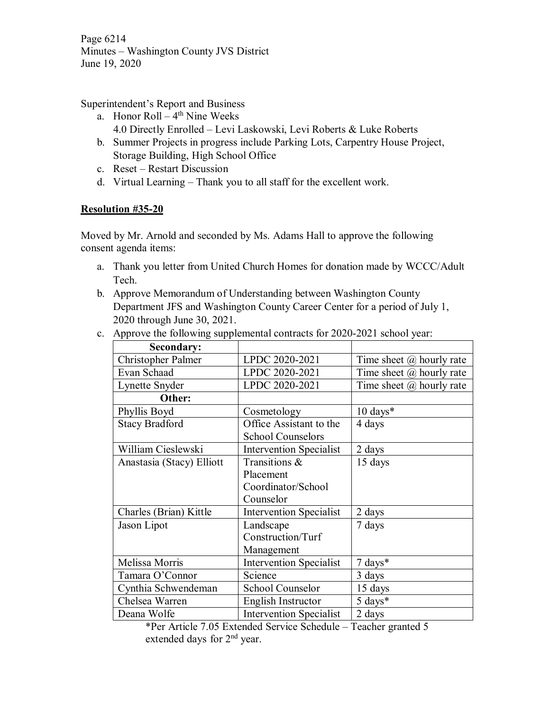Page 6214 Minutes – Washington County JVS District June 19, 2020

Superintendent's Report and Business

- a. Honor  $Roll 4<sup>th</sup>$  Nine Weeks 4.0 Directly Enrolled – Levi Laskowski, Levi Roberts & Luke Roberts
- b. Summer Projects in progress include Parking Lots, Carpentry House Project, Storage Building, High School Office
- c. Reset Restart Discussion
- d. Virtual Learning Thank you to all staff for the excellent work.

# **Resolution #35-20**

Moved by Mr. Arnold and seconded by Ms. Adams Hall to approve the following consent agenda items:

- a. Thank you letter from United Church Homes for donation made by WCCC/Adult Tech.
- b. Approve Memorandum of Understanding between Washington County Department JFS and Washington County Career Center for a period of July 1, 2020 through June 30, 2021.
- c. Approve the following supplemental contracts for 2020-2021 school year:

| Secondary:                |                                |                                 |
|---------------------------|--------------------------------|---------------------------------|
| Christopher Palmer        | LPDC 2020-2021                 | Time sheet $(a)$ hourly rate    |
| Evan Schaad               | LPDC 2020-2021                 | Time sheet $\omega$ hourly rate |
| Lynette Snyder            | LPDC 2020-2021                 | Time sheet $\omega$ hourly rate |
| Other:                    |                                |                                 |
| Phyllis Boyd              | Cosmetology                    | $10 \text{ days}$ *             |
| <b>Stacy Bradford</b>     | Office Assistant to the        | 4 days                          |
|                           | <b>School Counselors</b>       |                                 |
| William Cieslewski        | <b>Intervention Specialist</b> | 2 days                          |
| Anastasia (Stacy) Elliott | Transitions &                  | 15 days                         |
|                           | Placement                      |                                 |
|                           | Coordinator/School             |                                 |
|                           | Counselor                      |                                 |
| Charles (Brian) Kittle    | <b>Intervention Specialist</b> | 2 days                          |
| Jason Lipot               | Landscape                      | 7 days                          |
|                           | Construction/Turf              |                                 |
|                           | Management                     |                                 |
| Melissa Morris            | <b>Intervention Specialist</b> | $7 \text{ days}^*$              |
| Tamara O'Connor           | Science                        | 3 days                          |
| Cynthia Schwendeman       | School Counselor               | 15 days                         |
| Chelsea Warren            | English Instructor             | 5 days*                         |
| Deana Wolfe               | <b>Intervention Specialist</b> | 2 days                          |

<sup>\*</sup>Per Article 7.05 Extended Service Schedule – Teacher granted 5 extended days for 2<sup>nd</sup> year.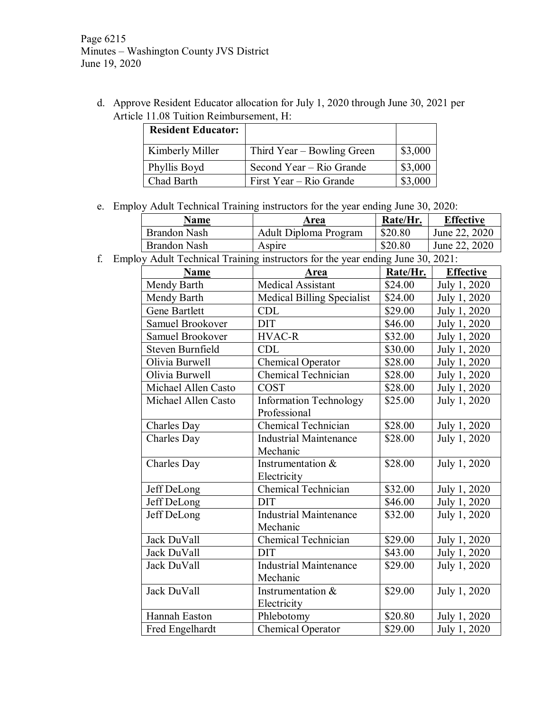Page 6215 Minutes – Washington County JVS District June 19, 2020

d. Approve Resident Educator allocation for July 1, 2020 through June 30, 2021 per Article 11.08 Tuition Reimbursement, H:

| <b>Resident Educator:</b> |                            |         |
|---------------------------|----------------------------|---------|
| Kimberly Miller           | Third Year – Bowling Green | \$3,000 |
| Phyllis Boyd              | Second Year – Rio Grande   | \$3,000 |
| Chad Barth                | First Year – Rio Grande    | \$3,000 |

e. Employ Adult Technical Training instructors for the year ending June 30, 2020:

| Name                | Area                  | Rate/Hr.                   | <b>Effective</b> |
|---------------------|-----------------------|----------------------------|------------------|
| Brandon Nash        | Adult Diploma Program | \$20.80                    | June 22, 2020    |
| <b>Brandon Nash</b> | Aspire                | \$20.80                    | June 22, 2020    |
| .                   |                       | $\cdots$ $\cdots$ $\cdots$ |                  |

f. Employ Adult Technical Training instructors for the year ending June 30, 2021:

| Name                 | Area                              | Rate/Hr. | <b>Effective</b> |
|----------------------|-----------------------------------|----------|------------------|
| Mendy Barth          | <b>Medical Assistant</b>          | \$24.00  | July 1, 2020     |
| Mendy Barth          | <b>Medical Billing Specialist</b> | \$24.00  | July 1, 2020     |
| <b>Gene Bartlett</b> | <b>CDL</b>                        | \$29.00  | July 1, 2020     |
| Samuel Brookover     | <b>DIT</b>                        | \$46.00  | July 1, 2020     |
| Samuel Brookover     | <b>HVAC-R</b>                     | \$32.00  | July 1, 2020     |
| Steven Burnfield     | <b>CDL</b>                        | \$30.00  | July 1, 2020     |
| Olivia Burwell       | Chemical Operator                 | \$28.00  | July 1, 2020     |
| Olivia Burwell       | Chemical Technician               | \$28.00  | July 1, 2020     |
| Michael Allen Casto  | <b>COST</b>                       | \$28.00  | July 1, 2020     |
| Michael Allen Casto  | <b>Information Technology</b>     | \$25.00  | July 1, 2020     |
|                      | Professional                      |          |                  |
| Charles Day          | Chemical Technician               | \$28.00  | July 1, 2020     |
| Charles Day          | <b>Industrial Maintenance</b>     | \$28.00  | July 1, 2020     |
|                      | Mechanic                          |          |                  |
| Charles Day          | Instrumentation &                 | \$28.00  | July 1, 2020     |
|                      | Electricity                       |          |                  |
| Jeff DeLong          | Chemical Technician               | \$32.00  | July 1, 2020     |
| Jeff DeLong          | <b>DIT</b>                        | \$46.00  | July 1, 2020     |
| Jeff DeLong          | <b>Industrial Maintenance</b>     | \$32.00  | July 1, 2020     |
|                      | Mechanic                          |          |                  |
| Jack DuVall          | Chemical Technician               | \$29.00  | July 1, 2020     |
| Jack DuVall          | <b>DIT</b>                        | \$43.00  | July 1, 2020     |
| Jack DuVall          | <b>Industrial Maintenance</b>     | \$29.00  | July 1, 2020     |
|                      | Mechanic                          |          |                  |
| Jack DuVall          | Instrumentation &                 | \$29.00  | July 1, 2020     |
|                      | Electricity                       |          |                  |
| Hannah Easton        | Phlebotomy                        | \$20.80  | July 1, 2020     |
| Fred Engelhardt      | Chemical Operator                 | \$29.00  | July 1, 2020     |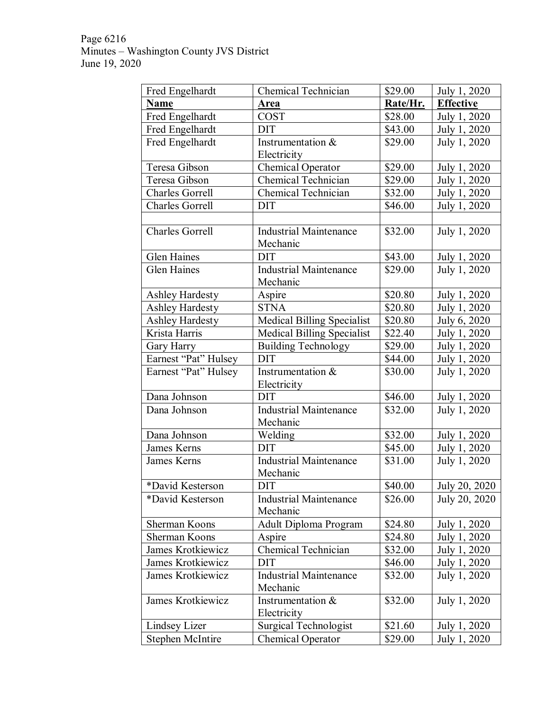Page 6216 Minutes – Washington County JVS District June 19, 2020

| Fred Engelhardt         | Chemical Technician               | \$29.00  | July 1, 2020     |
|-------------------------|-----------------------------------|----------|------------------|
| <b>Name</b>             | Area                              | Rate/Hr. | <b>Effective</b> |
| Fred Engelhardt         | <b>COST</b>                       | \$28.00  | July 1, 2020     |
| Fred Engelhardt         | <b>DIT</b>                        | \$43.00  | July 1, 2020     |
| Fred Engelhardt         | Instrumentation &                 | \$29.00  | July 1, 2020     |
|                         | Electricity                       |          |                  |
| Teresa Gibson           | Chemical Operator                 | \$29.00  | July 1, 2020     |
| Teresa Gibson           | Chemical Technician               | \$29.00  | July 1, 2020     |
| <b>Charles Gorrell</b>  | Chemical Technician               | \$32.00  | July 1, 2020     |
| <b>Charles Gorrell</b>  | <b>DIT</b>                        | \$46.00  | July 1, 2020     |
|                         |                                   |          |                  |
| <b>Charles Gorrell</b>  | <b>Industrial Maintenance</b>     | \$32.00  | July 1, 2020     |
|                         | Mechanic                          |          |                  |
| <b>Glen Haines</b>      | <b>DIT</b>                        | \$43.00  | July 1, 2020     |
| <b>Glen Haines</b>      | <b>Industrial Maintenance</b>     | \$29.00  | July 1, 2020     |
|                         | Mechanic                          |          |                  |
| <b>Ashley Hardesty</b>  | Aspire                            | \$20.80  | July 1, 2020     |
| Ashley Hardesty         | <b>STNA</b>                       | \$20.80  | July 1, 2020     |
| <b>Ashley Hardesty</b>  | <b>Medical Billing Specialist</b> | \$20.80  | July 6, 2020     |
| Krista Harris           | <b>Medical Billing Specialist</b> | \$22.40  | July 1, 2020     |
| Gary Harry              | <b>Building Technology</b>        | \$29.00  | July 1, 2020     |
| Earnest "Pat" Hulsey    | <b>DIT</b>                        | \$44.00  | July 1, 2020     |
| Earnest "Pat" Hulsey    | Instrumentation &                 | \$30.00  | July 1, 2020     |
|                         | Electricity                       |          |                  |
| Dana Johnson            | <b>DIT</b>                        | \$46.00  | July 1, 2020     |
| Dana Johnson            | <b>Industrial Maintenance</b>     | \$32.00  | July 1, 2020     |
|                         | Mechanic                          |          |                  |
| Dana Johnson            | Welding                           | \$32.00  | July 1, 2020     |
| James Kerns             | <b>DIT</b>                        | \$45.00  | July 1, 2020     |
| James Kerns             | <b>Industrial Maintenance</b>     | \$31.00  | July 1, 2020     |
|                         | Mechanic                          |          |                  |
| *David Kesterson        | <b>DIT</b>                        | \$40.00  | July 20, 2020    |
| *David Kesterson        | <b>Industrial Maintenance</b>     | \$26.00  | July 20, 2020    |
|                         | Mechanic                          |          |                  |
| Sherman Koons           | Adult Diploma Program             | \$24.80  | July 1, 2020     |
| Sherman Koons           | Aspire                            | \$24.80  | July 1, 2020     |
| James Krotkiewicz       | Chemical Technician               | \$32.00  | July 1, 2020     |
| James Krotkiewicz       | DIT                               | \$46.00  | July 1, 2020     |
| James Krotkiewicz       | <b>Industrial Maintenance</b>     | \$32.00  | July 1, 2020     |
|                         | Mechanic                          |          |                  |
| James Krotkiewicz       | Instrumentation &                 | \$32.00  | July 1, 2020     |
|                         | Electricity                       |          |                  |
| Lindsey Lizer           | <b>Surgical Technologist</b>      | \$21.60  | July 1, 2020     |
| <b>Stephen McIntire</b> | Chemical Operator                 | \$29.00  | July 1, 2020     |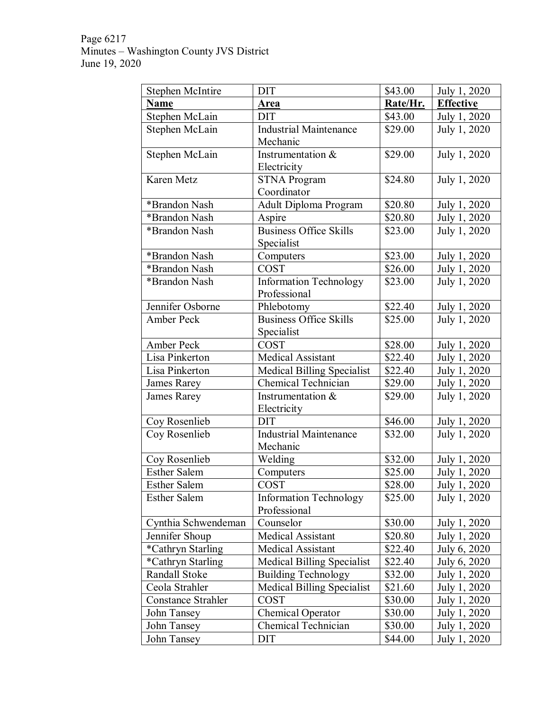Page 6217 Minutes – Washington County JVS District June 19, 2020

| <b>Stephen McIntire</b>   | <b>DIT</b>                        | \$43.00  | July 1, 2020     |
|---------------------------|-----------------------------------|----------|------------------|
| <b>Name</b>               | Area                              | Rate/Hr. | <b>Effective</b> |
| Stephen McLain            | <b>DIT</b>                        | \$43.00  | July 1, 2020     |
| Stephen McLain            | <b>Industrial Maintenance</b>     | \$29.00  | July 1, 2020     |
|                           | Mechanic                          |          |                  |
| Stephen McLain            | Instrumentation $\&$              | \$29.00  | July 1, 2020     |
|                           | Electricity                       |          |                  |
| Karen Metz                | <b>STNA Program</b>               | \$24.80  | July 1, 2020     |
|                           | Coordinator                       |          |                  |
| *Brandon Nash             | Adult Diploma Program             | \$20.80  | July 1, 2020     |
| *Brandon Nash             | Aspire                            | \$20.80  | July 1, 2020     |
| *Brandon Nash             | <b>Business Office Skills</b>     | \$23.00  | July 1, 2020     |
|                           | Specialist                        |          |                  |
| *Brandon Nash             | Computers                         | \$23.00  | July 1, 2020     |
| *Brandon Nash             | <b>COST</b>                       | \$26.00  | July 1, 2020     |
| *Brandon Nash             | <b>Information Technology</b>     | \$23.00  | July 1, 2020     |
|                           | Professional                      |          |                  |
| Jennifer Osborne          | Phlebotomy                        | \$22.40  | July 1, 2020     |
| <b>Amber Peck</b>         | <b>Business Office Skills</b>     | \$25.00  | July 1, 2020     |
|                           | Specialist                        |          |                  |
| <b>Amber Peck</b>         | <b>COST</b>                       | \$28.00  | July 1, 2020     |
| Lisa Pinkerton            | <b>Medical Assistant</b>          | \$22.40  | July 1, 2020     |
| Lisa Pinkerton            | Medical Billing Specialist        | \$22.40  | July 1, 2020     |
| James Rarey               | <b>Chemical Technician</b>        | \$29.00  | July 1, 2020     |
| James Rarey               | Instrumentation &                 | \$29.00  | July 1, 2020     |
|                           | Electricity                       |          |                  |
| Coy Rosenlieb             | <b>DIT</b>                        | \$46.00  | July 1, 2020     |
| Coy Rosenlieb             | <b>Industrial Maintenance</b>     | \$32.00  | July 1, 2020     |
|                           | Mechanic                          |          |                  |
| Coy Rosenlieb             | Welding                           | \$32.00  | July 1, 2020     |
| <b>Esther Salem</b>       | Computers                         | \$25.00  | July 1, 2020     |
| <b>Esther Salem</b>       | COST                              | \$28.00  | July 1, 2020     |
| <b>Esther Salem</b>       | <b>Information Technology</b>     | \$25.00  | July 1, 2020     |
|                           | Professional                      |          |                  |
| Cynthia Schwendeman       | Counselor                         | \$30.00  | July 1, 2020     |
| Jennifer Shoup            | Medical Assistant                 | \$20.80  | July 1, 2020     |
| *Cathryn Starling         | Medical Assistant                 | \$22.40  | July 6, 2020     |
| *Cathryn Starling         | <b>Medical Billing Specialist</b> | \$22.40  | July 6, 2020     |
| Randall Stoke             | <b>Building Technology</b>        | \$32.00  | July 1, 2020     |
| Ceola Strahler            | <b>Medical Billing Specialist</b> | \$21.60  | July 1, 2020     |
| <b>Constance Strahler</b> | <b>COST</b>                       | \$30.00  | July 1, 2020     |
| John Tansey               | Chemical Operator                 | \$30.00  | July 1, 2020     |
| John Tansey               | Chemical Technician               | \$30.00  | July 1, 2020     |
| John Tansey               | <b>DIT</b>                        | \$44.00  | July 1, 2020     |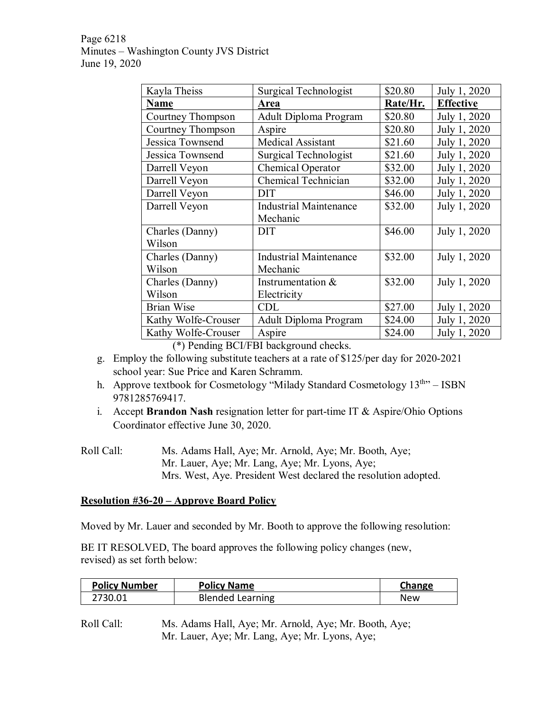Page 6218 Minutes – Washington County JVS District June 19, 2020

| Kayla Theiss        | Surgical Technologist         | \$20.80  | July 1, 2020     |
|---------------------|-------------------------------|----------|------------------|
| <b>Name</b>         | Area                          | Rate/Hr. | <b>Effective</b> |
| Courtney Thompson   | Adult Diploma Program         | \$20.80  | July 1, 2020     |
| Courtney Thompson   | Aspire                        | \$20.80  | July 1, 2020     |
| Jessica Townsend    | Medical Assistant             | \$21.60  | July 1, 2020     |
| Jessica Townsend    | Surgical Technologist         | \$21.60  | July 1, 2020     |
| Darrell Veyon       | Chemical Operator             | \$32.00  | July 1, 2020     |
| Darrell Veyon       | Chemical Technician           | \$32.00  | July 1, 2020     |
| Darrell Veyon       | <b>DIT</b>                    | \$46.00  | July 1, 2020     |
| Darrell Veyon       | <b>Industrial Maintenance</b> | \$32.00  | July 1, 2020     |
|                     | Mechanic                      |          |                  |
| Charles (Danny)     | <b>DIT</b>                    | \$46.00  | July 1, 2020     |
| Wilson              |                               |          |                  |
| Charles (Danny)     | <b>Industrial Maintenance</b> | \$32.00  | July 1, 2020     |
| Wilson              | Mechanic                      |          |                  |
| Charles (Danny)     | Instrumentation &             | \$32.00  | July 1, 2020     |
| Wilson              | Electricity                   |          |                  |
| <b>Brian Wise</b>   | <b>CDL</b>                    | \$27.00  | July 1, 2020     |
| Kathy Wolfe-Crouser | Adult Diploma Program         | \$24.00  | July 1, 2020     |
| Kathy Wolfe-Crouser | Aspire                        | \$24.00  | July 1, 2020     |

(\*) Pending BCI/FBI background checks.

- g. Employ the following substitute teachers at a rate of \$125/per day for 2020-2021 school year: Sue Price and Karen Schramm.
- h. Approve textbook for Cosmetology "Milady Standard Cosmetology  $13<sup>th</sup>$ " ISBN 9781285769417.
- i. Accept **Brandon Nash** resignation letter for part-time IT & Aspire/Ohio Options Coordinator effective June 30, 2020.
- Roll Call: Ms. Adams Hall, Aye; Mr. Arnold, Aye; Mr. Booth, Aye; Mr. Lauer, Aye; Mr. Lang, Aye; Mr. Lyons, Aye; Mrs. West, Aye. President West declared the resolution adopted.

## **Resolution #36-20 – Approve Board Policy**

Moved by Mr. Lauer and seconded by Mr. Booth to approve the following resolution:

BE IT RESOLVED, The board approves the following policy changes (new, revised) as set forth below:

| <b>Policy Number</b> | <b>Policy Name</b>      | Change |
|----------------------|-------------------------|--------|
| 2730.01              | <b>Blended Learning</b> | New    |

Roll Call: Ms. Adams Hall, Aye; Mr. Arnold, Aye; Mr. Booth, Aye; Mr. Lauer, Aye; Mr. Lang, Aye; Mr. Lyons, Aye;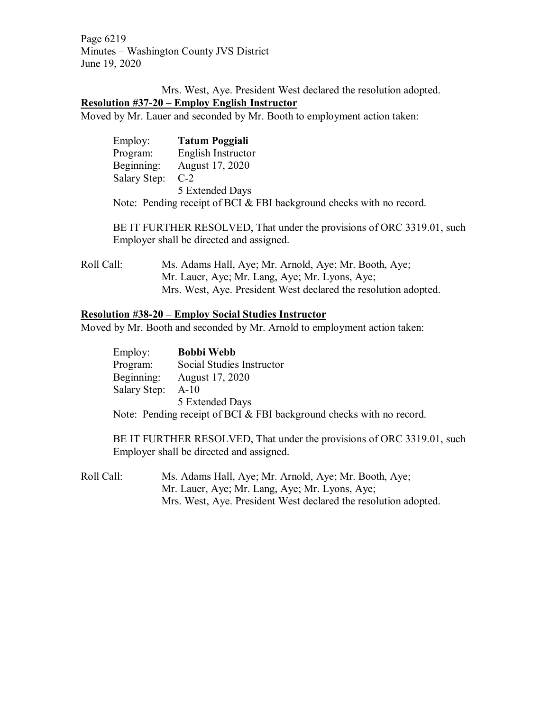Page 6219 Minutes – Washington County JVS District June 19, 2020

Mrs. West, Aye. President West declared the resolution adopted. **Resolution #37-20 – Employ English Instructor**

Moved by Mr. Lauer and seconded by Mr. Booth to employment action taken:

| Employ:          | <b>Tatum Poggiali</b>                                                |
|------------------|----------------------------------------------------------------------|
| Program:         | English Instructor                                                   |
| Beginning:       | August 17, 2020                                                      |
| Salary Step: C-2 |                                                                      |
|                  | 5 Extended Days                                                      |
|                  | Note: Pending receipt of BCI & FBI background checks with no record. |

BE IT FURTHER RESOLVED, That under the provisions of ORC 3319.01, such Employer shall be directed and assigned.

Roll Call: Ms. Adams Hall, Aye; Mr. Arnold, Aye; Mr. Booth, Aye; Mr. Lauer, Aye; Mr. Lang, Aye; Mr. Lyons, Aye; Mrs. West, Aye. President West declared the resolution adopted.

#### **Resolution #38-20 – Employ Social Studies Instructor**

Moved by Mr. Booth and seconded by Mr. Arnold to employment action taken:

| Employ:           | <b>Bobbi Webb</b>                                                    |
|-------------------|----------------------------------------------------------------------|
| Program:          | Social Studies Instructor                                            |
| Beginning:        | August 17, 2020                                                      |
| Salary Step: A-10 |                                                                      |
|                   | 5 Extended Days                                                      |
|                   | Note: Pending receipt of BCI & FBI background checks with no record. |

BE IT FURTHER RESOLVED, That under the provisions of ORC 3319.01, such Employer shall be directed and assigned.

Roll Call: Ms. Adams Hall, Aye; Mr. Arnold, Aye; Mr. Booth, Aye; Mr. Lauer, Aye; Mr. Lang, Aye; Mr. Lyons, Aye; Mrs. West, Aye. President West declared the resolution adopted.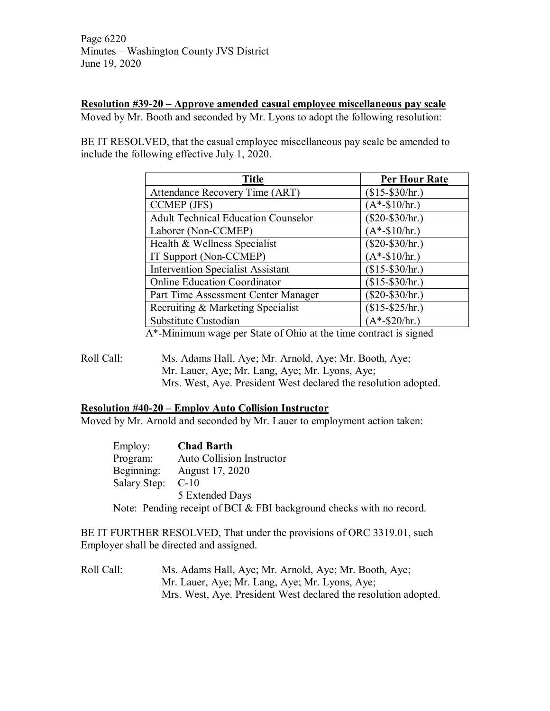Page 6220 Minutes – Washington County JVS District June 19, 2020

### **Resolution #39-20 – Approve amended casual employee miscellaneous pay scale**

Moved by Mr. Booth and seconded by Mr. Lyons to adopt the following resolution:

BE IT RESOLVED, that the casual employee miscellaneous pay scale be amended to include the following effective July 1, 2020.

| <b>Title</b>                               | <b>Per Hour Rate</b> |
|--------------------------------------------|----------------------|
| Attendance Recovery Time (ART)             | $($15-\$30/hr.)$     |
| CCMEP (JFS)                                | $(A*-\$10/hr.)$      |
| <b>Adult Technical Education Counselor</b> | $$20-\$30/hr.$       |
| Laborer (Non-CCMEP)                        | $(A*-\$10/hr.)$      |
| Health & Wellness Specialist               | $(\$20-\$30/hr.)$    |
| IT Support (Non-CCMEP)                     | $(A*-\$10/hr.)$      |
| <b>Intervention Specialist Assistant</b>   | $($15-\$30/hr.)$     |
| <b>Online Education Coordinator</b>        | $($15-\$30/hr.)$     |
| Part Time Assessment Center Manager        | $(\$20-\$30/hr.)$    |
| Recruiting & Marketing Specialist          | $$15-\$25/hr.$       |
| Substitute Custodian                       | $(A*-\$20/hr.)$      |

A\*-Minimum wage per State of Ohio at the time contract is signed

Roll Call: Ms. Adams Hall, Aye; Mr. Arnold, Aye; Mr. Booth, Aye; Mr. Lauer, Aye; Mr. Lang, Aye; Mr. Lyons, Aye; Mrs. West, Aye. President West declared the resolution adopted.

#### **Resolution #40-20 – Employ Auto Collision Instructor**

Moved by Mr. Arnold and seconded by Mr. Lauer to employment action taken:

Employ: **Chad Barth** Auto Collision Instructor Beginning: August 17, 2020 Salary Step: C-10 5 Extended Days Note: Pending receipt of BCI & FBI background checks with no record.

BE IT FURTHER RESOLVED, That under the provisions of ORC 3319.01, such Employer shall be directed and assigned.

Roll Call: Ms. Adams Hall, Aye; Mr. Arnold, Aye; Mr. Booth, Aye; Mr. Lauer, Aye; Mr. Lang, Aye; Mr. Lyons, Aye; Mrs. West, Aye. President West declared the resolution adopted.